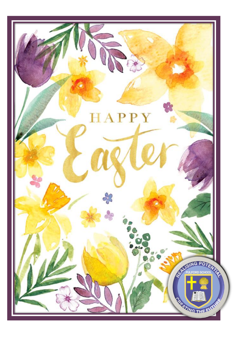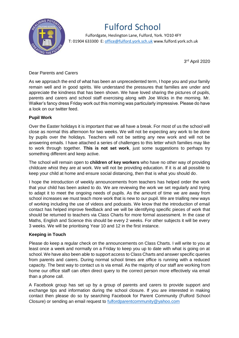

# Fulford School

 Fulfordgate, Heslington Lane, Fulford, York. YO10 4FY T: 01904 633300 E: office@fulford.york.sch.uk www.fulford.york.sch.uk

3 rd April 2020

## Dear Parents and Carers

As we approach the end of what has been an unprecedented term, I hope you and your family remain well and in good spirits. We understand the pressures that families are under and appreciate the kindness that has been shown. We have loved sharing the pictures of pupils, parents and carers and school staff exercising along with Joe Wicks in the morning. Mr. Walker's fancy dress Friday work out this morning was particularly impressive. Please do have a look on our twitter feed.

## **Pupil Work**

Over the Easter holidays it is important that we all have a break. For most of us the school will close as normal this afternoon for two weeks. We will not be expecting any work to be done by pupils over the holidays. Teachers will not be setting any new work and will not be answering emails. I have attached a series of challenges to this letter which families may like to work through together. **This is not set work**, just some suggestions to perhaps try something different and keep active.

The school will remain open to **children of key workers** who have no other way of providing childcare whist they are at work. We will not be providing education. If it is at all possible to keep your child at home and ensure social distancing, then that is what you should do.

I hope the introduction of weekly announcements from teachers has helped order the work that your child has been asked to do. We are reviewing the work we set regularly and trying to adapt it to meet the ongoing needs of pupils. As the amount of time we are away from school increases we must teach more work that is new to our pupil. We are trialling new ways of working including the use of videos and podcasts. We know that the introduction of email contact has helped improve feedback and we will be identifying specific pieces of work that should be returned to teachers via Class Charts for more formal assessment. In the case of Maths, English and Science this should be every 2 weeks. For other subjects it will be every 3 weeks. We will be prioritising Year 10 and 12 in the first instance.

#### **Keeping in Touch**

Please do keep a regular check on the announcements on Class Charts. I will write to you at least once a week and normally on a Friday to keep you up to date with what is going on at school. We have also been able to support access to Class Charts and answer specific queries from parents and carers. During normal school times are office is running with a reduced capacity. The best way to contact us is via email. As the majority of our staff are working from home our office staff can often direct query to the correct person more effectively via email than a phone call.

A Facebook group has set up by a group of parents and carers to provide support and exchange tips and information during the school closure. If you are interested in making contact then please do so by searching Facebook for Parent Community (Fulford School Closure) or sending an email request to [fulfordparentcommunity@yahoo.com](mailto:fulfordparentcommunity@yahoo.com)